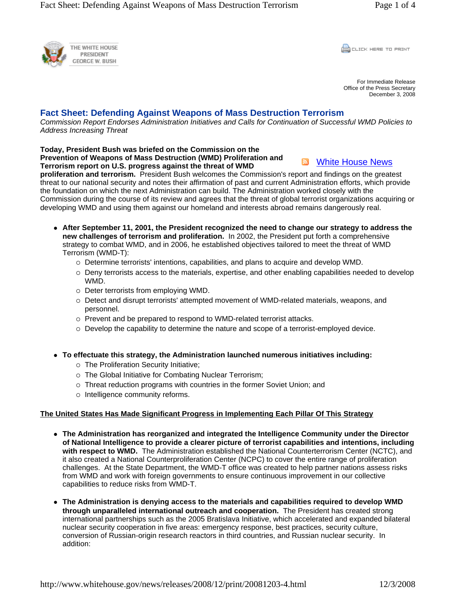

**CLICK HERE TO PRINT** 

For Immediate Release Office of the Press Secretary December 3, 2008

## **Fact Sheet: Defending Against Weapons of Mass Destruction Terrorism**

*Commission Report Endorses Administration Initiatives and Calls for Continuation of Successful WMD Policies to Address Increasing Threat*

**Today, President Bush was briefed on the Commission on the Prevention of Weapons of Mass Destruction (WMD) Proliferation and Terrorism report on U.S. progress against the threat of WMD** 

**N** White House News

**proliferation and terrorism.** President Bush welcomes the Commission's report and findings on the greatest threat to our national security and notes their affirmation of past and current Administration efforts, which provide the foundation on which the next Administration can build. The Administration worked closely with the Commission during the course of its review and agrees that the threat of global terrorist organizations acquiring or developing WMD and using them against our homeland and interests abroad remains dangerously real.

- After September 11, 2001, the President recognized the need to change our strategy to address the **new challenges of terrorism and proliferation.** In 2002, the President put forth a comprehensive strategy to combat WMD, and in 2006, he established objectives tailored to meet the threat of WMD Terrorism (WMD-T):
	- $\circ$  Determine terrorists' intentions, capabilities, and plans to acquire and develop WMD.
	- $\circ$  Deny terrorists access to the materials, expertise, and other enabling capabilities needed to develop WMD.
	- $\circ$  Deter terrorists from employing WMD.
	- $\circ$  Detect and disrupt terrorists' attempted movement of WMD-related materials, weapons, and personnel.
	- o Prevent and be prepared to respond to WMD-related terrorist attacks.
	- $\circ$  Develop the capability to determine the nature and scope of a terrorist-employed device.
- To effectuate this strategy, the Administration launched numerous initiatives including:
	- o The Proliferation Security Initiative;
	- $\circ$  The Global Initiative for Combating Nuclear Terrorism;
	- o Threat reduction programs with countries in the former Soviet Union; and
	- $\circ$  Intelligence community reforms.

## **The United States Has Made Significant Progress in Implementing Each Pillar Of This Strategy**

- The Administration has reorganized and integrated the Intelligence Community under the Director **of National Intelligence to provide a clearer picture of terrorist capabilities and intentions, including with respect to WMD.** The Administration established the National Counterterrorism Center (NCTC), and it also created a National Counterproliferation Center (NCPC) to cover the entire range of proliferation challenges. At the State Department, the WMD-T office was created to help partner nations assess risks from WMD and work with foreign governments to ensure continuous improvement in our collective capabilities to reduce risks from WMD-T.
- The Administration is denying access to the materials and capabilities required to develop WMD **through unparalleled international outreach and cooperation.** The President has created strong international partnerships such as the 2005 Bratislava Initiative, which accelerated and expanded bilateral nuclear security cooperation in five areas: emergency response, best practices, security culture, conversion of Russian-origin research reactors in third countries, and Russian nuclear security. In addition: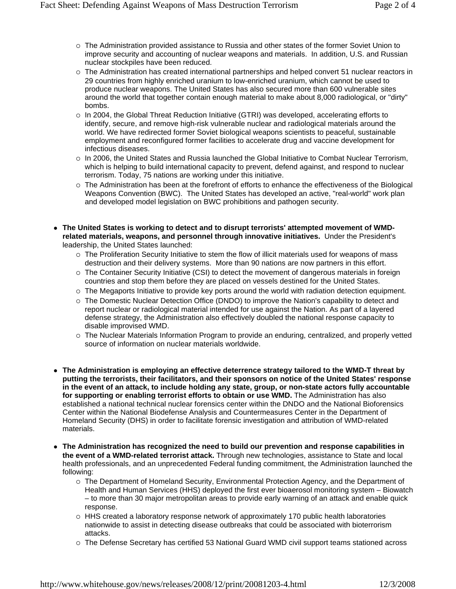- $\circ$  The Administration provided assistance to Russia and other states of the former Soviet Union to improve security and accounting of nuclear weapons and materials. In addition, U.S. and Russian nuclear stockpiles have been reduced.
- o The Administration has created international partnerships and helped convert 51 nuclear reactors in 29 countries from highly enriched uranium to low-enriched uranium, which cannot be used to produce nuclear weapons. The United States has also secured more than 600 vulnerable sites around the world that together contain enough material to make about 8,000 radiological, or "dirty" bombs.
- $\circ$  In 2004, the Global Threat Reduction Initiative (GTRI) was developed, accelerating efforts to identify, secure, and remove high-risk vulnerable nuclear and radiological materials around the world. We have redirected former Soviet biological weapons scientists to peaceful, sustainable employment and reconfigured former facilities to accelerate drug and vaccine development for infectious diseases.
- $\circ$  In 2006, the United States and Russia launched the Global Initiative to Combat Nuclear Terrorism, which is helping to build international capacity to prevent, defend against, and respond to nuclear terrorism. Today, 75 nations are working under this initiative.
- $\circ$  The Administration has been at the forefront of efforts to enhance the effectiveness of the Biological Weapons Convention (BWC). The United States has developed an active, "real-world" work plan and developed model legislation on BWC prohibitions and pathogen security.
- The United States is working to detect and to disrupt terrorists' attempted movement of WMD**related materials, weapons, and personnel through innovative initiatives.** Under the President's leadership, the United States launched:
	- $\circ$  The Proliferation Security Initiative to stem the flow of illicit materials used for weapons of mass destruction and their delivery systems. More than 90 nations are now partners in this effort.
	- $\circ$  The Container Security Initiative (CSI) to detect the movement of dangerous materials in foreign countries and stop them before they are placed on vessels destined for the United States.
	- $\circ$  The Megaports Initiative to provide key ports around the world with radiation detection equipment.
	- $\circ$  The Domestic Nuclear Detection Office (DNDO) to improve the Nation's capability to detect and report nuclear or radiological material intended for use against the Nation. As part of a layered defense strategy, the Administration also effectively doubled the national response capacity to disable improvised WMD.
	- o The Nuclear Materials Information Program to provide an enduring, centralized, and properly vetted source of information on nuclear materials worldwide.
- The Administration is employing an effective deterrence strategy tailored to the WMD-T threat by **putting the terrorists, their facilitators, and their sponsors on notice of the United States' response in the event of an attack, to include holding any state, group, or non-state actors fully accountable for supporting or enabling terrorist efforts to obtain or use WMD.** The Administration has also established a national technical nuclear forensics center within the DNDO and the National Bioforensics Center within the National Biodefense Analysis and Countermeasures Center in the Department of Homeland Security (DHS) in order to facilitate forensic investigation and attribution of WMD-related materials.
- The Administration has recognized the need to build our prevention and response capabilities in **the event of a WMD-related terrorist attack.** Through new technologies, assistance to State and local health professionals, and an unprecedented Federal funding commitment, the Administration launched the following:
	- $\circ$  The Department of Homeland Security, Environmental Protection Agency, and the Department of Health and Human Services (HHS) deployed the first ever bioaerosol monitoring system – Biowatch – to more than 30 major metropolitan areas to provide early warning of an attack and enable quick response.
	- $\circ$  HHS created a laboratory response network of approximately 170 public health laboratories nationwide to assist in detecting disease outbreaks that could be associated with bioterrorism attacks.
	- ${\circ}$  The Defense Secretary has certified 53 National Guard WMD civil support teams stationed across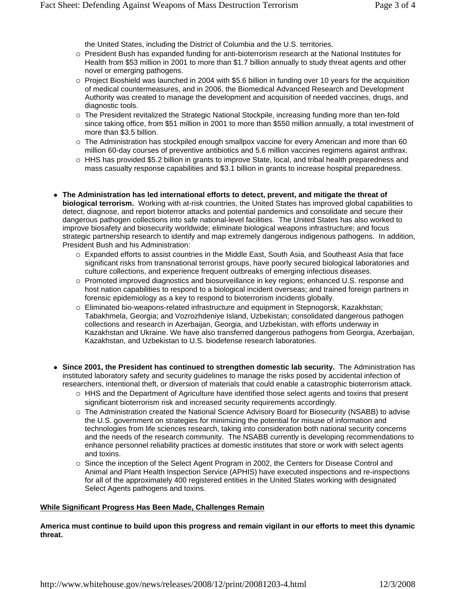the United States, including the District of Columbia and the U.S. territories.

- $\circ$  President Bush has expanded funding for anti-bioterrorism research at the National Institutes for Health from \$53 million in 2001 to more than \$1.7 billion annually to study threat agents and other novel or emerging pathogens.
- $\circ$  Project Bioshield was launched in 2004 with \$5.6 billion in funding over 10 years for the acquisition of medical countermeasures, and in 2006, the Biomedical Advanced Research and Development Authority was created to manage the development and acquisition of needed vaccines, drugs, and diagnostic tools.
- $\circ$  The President revitalized the Strategic National Stockpile, increasing funding more than ten-fold since taking office, from \$51 million in 2001 to more than \$550 million annually, a total investment of more than \$3.5 billion.
- $\circ$  The Administration has stockpiled enough smallpox vaccine for every American and more than 60 million 60-day courses of preventive antibiotics and 5.6 million vaccines regimens against anthrax.
- $\circ$  HHS has provided \$5.2 billion in grants to improve State, local, and tribal health preparedness and mass casualty response capabilities and \$3.1 billion in grants to increase hospital preparedness.
- The Administration has led international efforts to detect, prevent, and mitigate the threat of **biological terrorism.** Working with at-risk countries, the United States has improved global capabilities to detect, diagnose, and report bioterror attacks and potential pandemics and consolidate and secure their dangerous pathogen collections into safe national-level facilities. The United States has also worked to improve biosafety and biosecurity worldwide; eliminate biological weapons infrastructure; and focus strategic partnership research to identify and map extremely dangerous indigenous pathogens. In addition, President Bush and his Administration:
	- $\circ$  Expanded efforts to assist countries in the Middle East, South Asia, and Southeast Asia that face significant risks from transnational terrorist groups, have poorly secured biological laboratories and culture collections, and experience frequent outbreaks of emerging infectious diseases.
	- $\circ$  Promoted improved diagnostics and biosurveillance in key regions; enhanced U.S. response and host nation capabilities to respond to a biological incident overseas; and trained foreign partners in forensic epidemiology as a key to respond to bioterrorism incidents globally.
	- { Eliminated bio-weapons-related infrastructure and equipment in Stepnogorsk, Kazakhstan; Tabakhmela, Georgia; and Vozrozhdeniye Island, Uzbekistan; consolidated dangerous pathogen collections and research in Azerbaijan, Georgia, and Uzbekistan, with efforts underway in Kazakhstan and Ukraine. We have also transferred dangerous pathogens from Georgia, Azerbaijan, Kazakhstan, and Uzbekistan to U.S. biodefense research laboratories.
- Since 2001, the President has continued to strengthen domestic lab security. The Administration has instituted laboratory safety and security guidelines to manage the risks posed by accidental infection of researchers, intentional theft, or diversion of materials that could enable a catastrophic bioterrorism attack.
	- $\circ$  HHS and the Department of Agriculture have identified those select agents and toxins that present significant bioterrorism risk and increased security requirements accordingly.
	- $\circ$  The Administration created the National Science Advisory Board for Biosecurity (NSABB) to advise the U.S. government on strategies for minimizing the potential for misuse of information and technologies from life sciences research, taking into consideration both national security concerns and the needs of the research community. The NSABB currently is developing recommendations to enhance personnel reliability practices at domestic institutes that store or work with select agents and toxins.
	- $\circ$  Since the inception of the Select Agent Program in 2002, the Centers for Disease Control and Animal and Plant Health Inspection Service (APHIS) have executed inspections and re-inspections for all of the approximately 400 registered entities in the United States working with designated Select Agents pathogens and toxins.

## **While Significant Progress Has Been Made, Challenges Remain**

**America must continue to build upon this progress and remain vigilant in our efforts to meet this dynamic threat.**